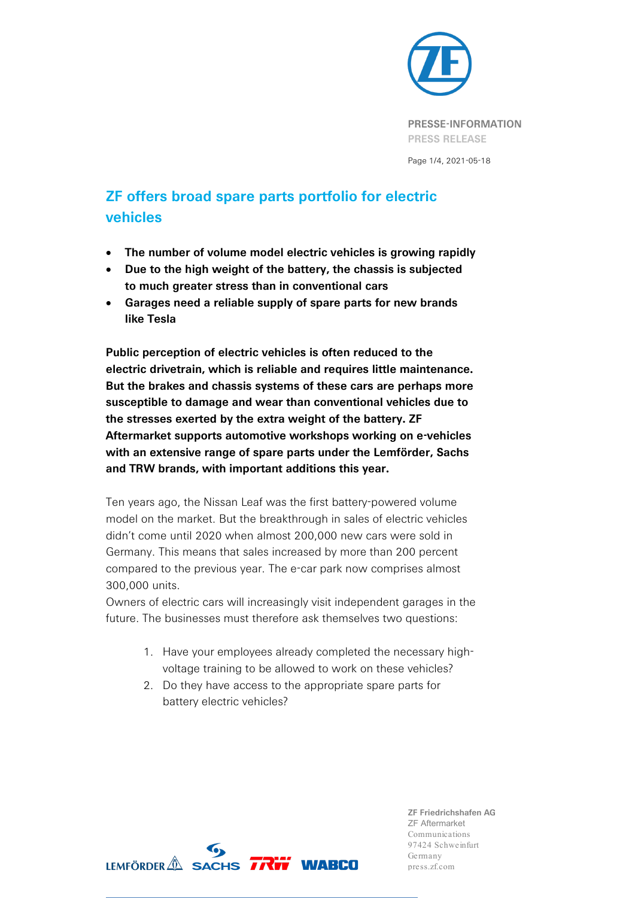

# **ZF offers broad spare parts portfolio for electric vehicles**

- **The number of volume model electric vehicles is growing rapidly**
- **Due to the high weight of the battery, the chassis is subjected to much greater stress than in conventional cars**
- **Garages need a reliable supply of spare parts for new brands like Tesla**

**Public perception of electric vehicles is often reduced to the electric drivetrain, which is reliable and requires little maintenance. But the brakes and chassis systems of these cars are perhaps more susceptible to damage and wear than conventional vehicles due to the stresses exerted by the extra weight of the battery. ZF Aftermarket supports automotive workshops working on e-vehicles with an extensive range of spare parts under the Lemförder, Sachs and TRW brands, with important additions this year.**

Ten years ago, the Nissan Leaf was the first battery-powered volume model on the market. But the breakthrough in sales of electric vehicles didn't come until 2020 when almost 200,000 new cars were sold in Germany. This means that sales increased by more than 200 percent compared to the previous year. The e-car park now comprises almost 300,000 units.

Owners of electric cars will increasingly visit independent garages in the future. The businesses must therefore ask themselves two questions:

- 1. Have your employees already completed the necessary highvoltage training to be allowed to work on these vehicles?
- 2. Do they have access to the appropriate spare parts for battery electric vehicles?

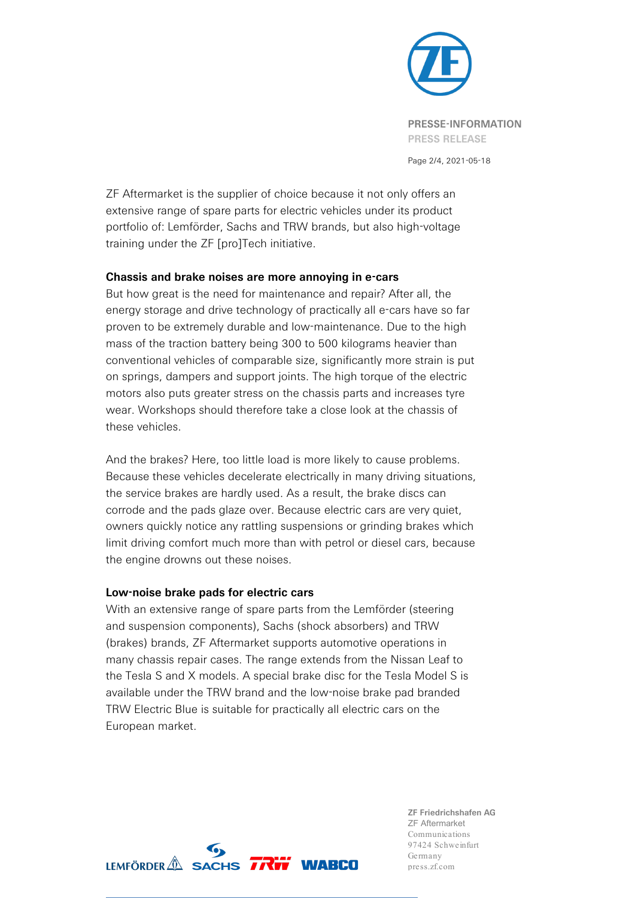

ZF Aftermarket is the supplier of choice because it not only offers an extensive range of spare parts for electric vehicles under its product portfolio of: Lemförder, Sachs and TRW brands, but also high-voltage training under the ZF [pro]Tech initiative.

### **Chassis and brake noises are more annoying in e-cars**

But how great is the need for maintenance and repair? After all, the energy storage and drive technology of practically all e-cars have so far proven to be extremely durable and low-maintenance. Due to the high mass of the traction battery being 300 to 500 kilograms heavier than conventional vehicles of comparable size, significantly more strain is put on springs, dampers and support joints. The high torque of the electric motors also puts greater stress on the chassis parts and increases tyre wear. Workshops should therefore take a close look at the chassis of these vehicles.

And the brakes? Here, too little load is more likely to cause problems. Because these vehicles decelerate electrically in many driving situations, the service brakes are hardly used. As a result, the brake discs can corrode and the pads glaze over. Because electric cars are very quiet, owners quickly notice any rattling suspensions or grinding brakes which limit driving comfort much more than with petrol or diesel cars, because the engine drowns out these noises.

### **Low-noise brake pads for electric cars**

With an extensive range of spare parts from the Lemförder (steering and suspension components), Sachs (shock absorbers) and TRW (brakes) brands, ZF Aftermarket supports automotive operations in many chassis repair cases. The range extends from the Nissan Leaf to the Tesla S and X models. A special brake disc for the Tesla Model S is available under the TRW brand and the low-noise brake pad branded TRW Electric Blue is suitable for practically all electric cars on the European market.

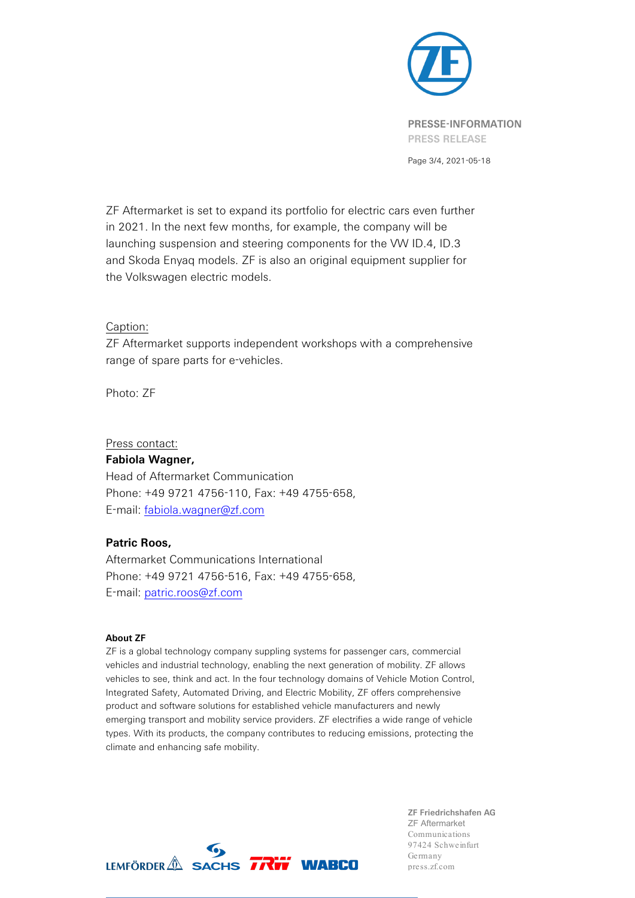

Page 3/4, 2021-05-18

ZF Aftermarket is set to expand its portfolio for electric cars even further in 2021. In the next few months, for example, the company will be launching suspension and steering components for the VW ID.4, ID.3 and Skoda Enyaq models. ZF is also an original equipment supplier for the Volkswagen electric models.

### Caption:

ZF Aftermarket supports independent workshops with a comprehensive range of spare parts for e-vehicles.

Photo: ZF

Press contact:

### **Fabiola Wagner,**

Head of Aftermarket Communication Phone: +49 9721 4756-110, Fax: +49 4755-658, E-mail: fabiola.wagner@zf.com

## **Patric Roos,**

Aftermarket Communications International Phone: +49 9721 4756-516, Fax: +49 4755-658, E-mail: [patric.roos@zf.com](mailto:patric.roos@zf.com)

### **About ZF**

ZF is a global technology company suppling systems for passenger cars, commercial vehicles and industrial technology, enabling the next generation of mobility. ZF allows vehicles to see, think and act. In the four technology domains of Vehicle Motion Control, Integrated Safety, Automated Driving, and Electric Mobility, ZF offers comprehensive product and software solutions for established vehicle manufacturers and newly emerging transport and mobility service providers. ZF electrifies a wide range of vehicle types. With its products, the company contributes to reducing emissions, protecting the climate and enhancing safe mobility.